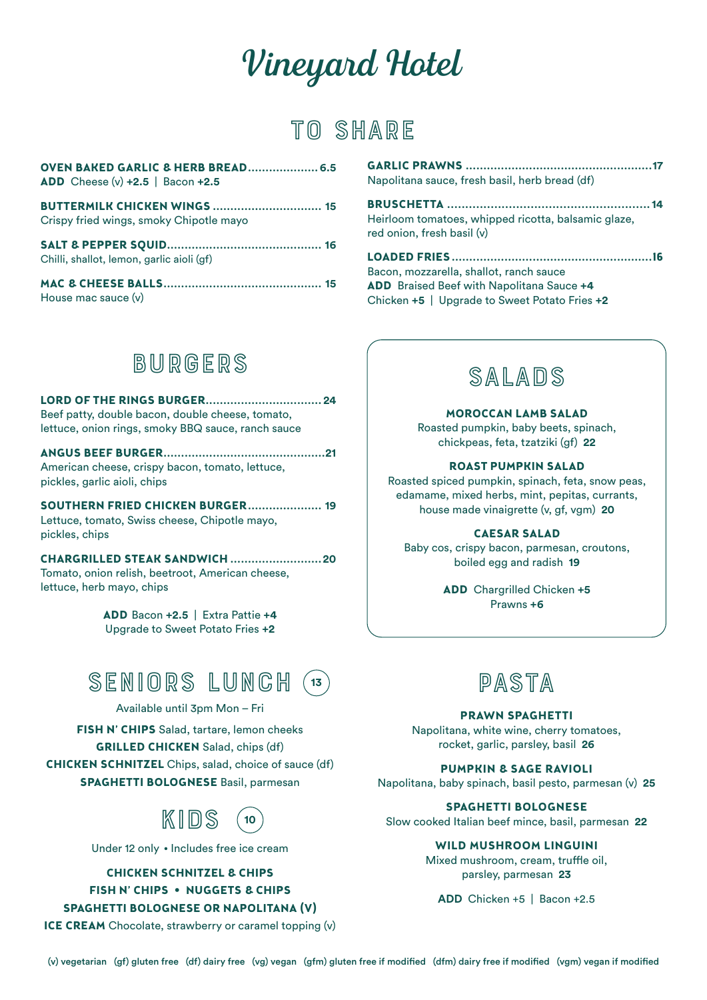# *Vineyard Hotel*

### **TO SHARE**

| <b>OVEN BAKED GARLIC &amp; HERB BREAD 6.5</b><br>ADD Cheese (v) $+2.5$   Bacon $+2.5$ |  |
|---------------------------------------------------------------------------------------|--|
| <b>BUTTERMILK CHICKEN WINGS  15</b>                                                   |  |
| Crispy fried wings, smoky Chipotle mayo                                               |  |
|                                                                                       |  |
| Chilli, shallot, lemon, garlic aioli (gf)                                             |  |
|                                                                                       |  |
| House mac sauce (v)                                                                   |  |
|                                                                                       |  |

| Napolitana sauce, fresh basil, herb bread (df) |
|------------------------------------------------|

**BRUSCHETTA ........................................................14** Heirloom tomatoes, whipped ricotta, balsamic glaze, red onion, fresh basil (v)

**LOADED FRIES .........................................................16** Bacon, mozzarella, shallot, ranch sauce **ADD** Braised Beef with Napolitana Sauce **+4**  Chicken **+5** | Upgrade to Sweet Potato Fries **+2**

### **BURGERS**

**LORD OF THE RINGS BURGER................................. 24** Beef patty, double bacon, double cheese, tomato, lettuce, onion rings, smoky BBQ sauce, ranch sauce

**ANGUS BEEF BURGER..............................................21** American cheese, crispy bacon, tomato, lettuce, pickles, garlic aioli, chips

**SOUTHERN FRIED CHICKEN BURGER..................... 19** Lettuce, tomato, Swiss cheese, Chipotle mayo, pickles, chips

**CHARGRILLED STEAK SANDWICH ..........................20** Tomato, onion relish, beetroot, American cheese, lettuce, herb mayo, chips

> **ADD** Bacon **+2.5** | Extra Pattie **+4**  Upgrade to Sweet Potato Fries **+2**



Available until 3pm Mon – Fri

**FISH N' CHIPS** Salad, tartare, lemon cheeks **GRILLED CHICKEN** Salad, chips (df) **CHICKEN SCHNITZEL** Chips, salad, choice of sauce (df) **SPAGHETTI BOLOGNESE** Basil, parmesan



Under 12 only • Includes free ice cream

**CHICKEN SCHNITZEL & CHIPS FISH N' CHIPS • NUGGETS & CHIPS SPAGHETTI BOLOGNESE OR NAPOLITANA (V)**

**ICE CREAM** Chocolate, strawberry or caramel topping (v)



#### **MOROCCAN LAMB SALAD**

Roasted pumpkin, baby beets, spinach, chickpeas, feta, tzatziki (gf) **22**

#### **ROAST PUMPKIN SALAD**

Roasted spiced pumpkin, spinach, feta, snow peas, edamame, mixed herbs, mint, pepitas, currants, house made vinaigrette (v, gf, vgm) **20**

#### **CAESAR SALAD**

Baby cos, crispy bacon, parmesan, croutons, boiled egg and radish **19**

> **ADD** Chargrilled Chicken **+5** Prawns **+6**



#### **PRAWN SPAGHETTI**

Napolitana, white wine, cherry tomatoes, rocket, garlic, parsley, basil **26**

#### **PUMPKIN & SAGE RAVIOLI**

Napolitana, baby spinach, basil pesto, parmesan (v) **25**

#### **SPAGHETTI BOLOGNESE**

Slow cooked Italian beef mince, basil, parmesan **22**

#### **WILD MUSHROOM LINGUINI**

Mixed mushroom, cream, truffle oil, parsley, parmesan **23**

**ADD** Chicken +5 | Bacon +2.5